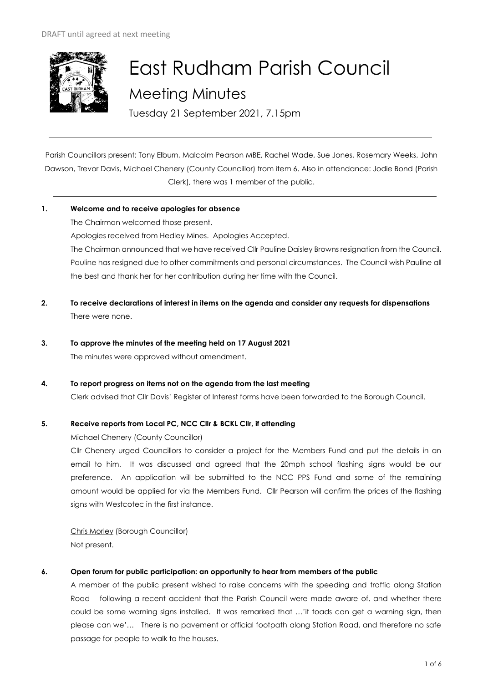

# East Rudham Parish Council Meeting Minutes

Tuesday 21 September 2021, 7.15pm

Parish Councillors present: Tony Elburn, Malcolm Pearson MBE, Rachel Wade, Sue Jones, Rosemary Weeks, John Dawson, Trevor Davis, Michael Chenery (County Councillor) from item 6. Also in attendance: Jodie Bond (Parish Clerk), there was 1 member of the public.

# **1. Welcome and to receive apologies for absence**

The Chairman welcomed those present. Apologies received from Hedley Mines. Apologies Accepted. The Chairman announced that we have received Cllr Pauline Daisley Browns resignation from the Council. Pauline has resigned due to other commitments and personal circumstances. The Council wish Pauline all the best and thank her for her contribution during her time with the Council.

- **2. To receive declarations of interest in items on the agenda and consider any requests for dispensations**  There were none.
- **3. To approve the minutes of the meeting held on 17 August 2021**  The minutes were approved without amendment.
- **4. To report progress on items not on the agenda from the last meeting**

Clerk advised that Cllr Davis' Register of Interest forms have been forwarded to the Borough Council.

# **5. Receive reports from Local PC, NCC Cllr & BCKL Cllr, if attending**

Michael Chenery (County Councillor)

Cllr Chenery urged Councillors to consider a project for the Members Fund and put the details in an email to him. It was discussed and agreed that the 20mph school flashing signs would be our preference. An application will be submitted to the NCC PPS Fund and some of the remaining amount would be applied for via the Members Fund. Cllr Pearson will confirm the prices of the flashing signs with Westcotec in the first instance.

Chris Morley (Borough Councillor) Not present.

# **6. Open forum for public participation: an opportunity to hear from members of the public**

A member of the public present wished to raise concerns with the speeding and traffic along Station Road following a recent accident that the Parish Council were made aware of, and whether there could be some warning signs installed. It was remarked that …'if toads can get a warning sign, then please can we'… There is no pavement or official footpath along Station Road, and therefore no safe passage for people to walk to the houses.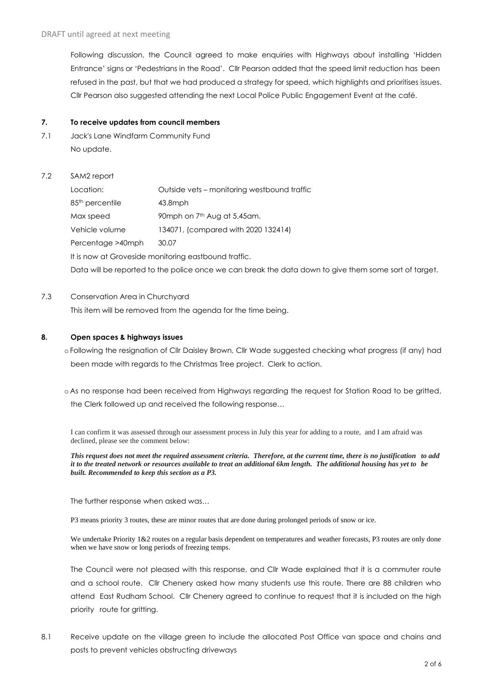Following discussion, the Council agreed to make enquiries with Highways about installing 'Hidden Entrance' signs or 'Pedestrians in the Road'. Cllr Pearson added that the speed limit reduction has been refused in the past, but that we had produced a strategy for speed, which highlights and prioritises issues. Cllr Pearson also suggested attending the next Local Police Public Engagement Event at the café.

#### **7. To receive updates from council members**

- 7.1 Jack's Lane Windfarm Community Fund No update.
- 7.2 SAM2 report

| Location:                                                                                             | Outside vets – monitoring westbound traffic |  |  |  |
|-------------------------------------------------------------------------------------------------------|---------------------------------------------|--|--|--|
| 85 <sup>th</sup> percentile                                                                           | $43.8$ mph                                  |  |  |  |
| Max speed                                                                                             | 90mph on 7 <sup>th</sup> Aug at 5.45am.     |  |  |  |
| Vehicle volume                                                                                        | 134071, (compared with 2020 132414)         |  |  |  |
| Percentage >40mph                                                                                     | 30.07                                       |  |  |  |
| It is now at Groveside monitoring eastbound traffic.                                                  |                                             |  |  |  |
| Data will be reported to the police once we can break the data down to give them some sort of target. |                                             |  |  |  |

# 7.3 Conservation Area in Churchyard

This item will be removed from the agenda for the time being.

#### **8. Open spaces & highways issues**

- o Following the resignation of Cllr Daisley Brown, Cllr Wade suggested checking what progress (if any) had been made with regards to the Christmas Tree project. Clerk to action.
- o As no response had been received from Highways regarding the request for Station Road to be gritted, the Clerk followed up and received the following response…

I can confirm it was assessed through our assessment process in July this year for adding to a route, and I am afraid was declined, please see the comment below:

*This request does not meet the required assessment criteria. Therefore, at the current time, there is no justification to add it to the treated network or resources available to treat an additional 6km length. The additional housing has yet to be built. Recommended to keep this section as a P3.*

The further response when asked was…

P3 means priority 3 routes, these are minor routes that are done during prolonged periods of snow or ice.

We undertake Priority 1&2 routes on a regular basis dependent on temperatures and weather forecasts, P3 routes are only done when we have snow or long periods of freezing temps.

The Council were not pleased with this response, and Cllr Wade explained that it is a commuter route and a school route. Cllr Chenery asked how many students use this route. There are 88 children who attend East Rudham School. Cllr Chenery agreed to continue to request that it is included on the high priority route for gritting.

8.1 Receive update on the village green to include the allocated Post Office van space and chains and posts to prevent vehicles obstructing driveways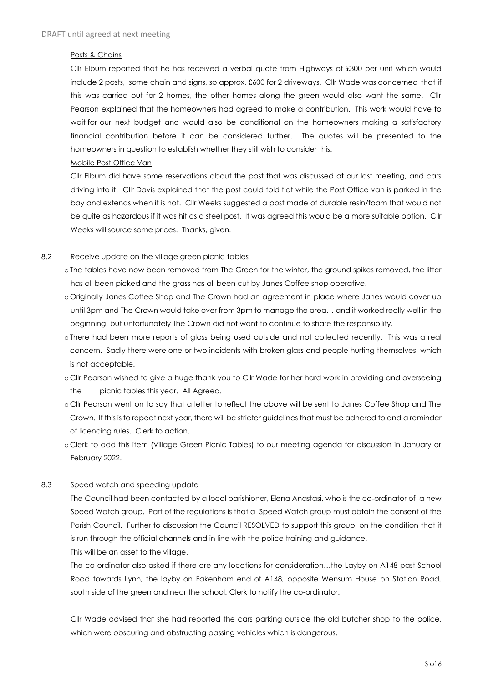#### Posts & Chains

Cllr Elburn reported that he has received a verbal quote from Highways of £300 per unit which would include 2 posts, some chain and signs, so approx. £600 for 2 driveways. Cllr Wade was concerned that if this was carried out for 2 homes, the other homes along the green would also want the same. Cllr Pearson explained that the homeowners had agreed to make a contribution. This work would have to wait for our next budget and would also be conditional on the homeowners making a satisfactory financial contribution before it can be considered further. The quotes will be presented to the homeowners in question to establish whether they still wish to consider this.

#### Mobile Post Office Van

Cllr Elburn did have some reservations about the post that was discussed at our last meeting, and cars driving into it. Cllr Davis explained that the post could fold flat while the Post Office van is parked in the bay and extends when it is not. Cllr Weeks suggested a post made of durable resin/foam that would not be quite as hazardous if it was hit as a steel post. It was agreed this would be a more suitable option. Cllr Weeks will source some prices. Thanks, given.

#### 8.2 Receive update on the village green picnic tables

- o The tables have now been removed from The Green for the winter, the ground spikes removed, the litter has all been picked and the grass has all been cut by Janes Coffee shop operative.
- o Originally Janes Coffee Shop and The Crown had an agreement in place where Janes would cover up until 3pm and The Crown would take over from 3pm to manage the area… and it worked really well in the beginning, but unfortunately The Crown did not want to continue to share the responsibility.
- o There had been more reports of glass being used outside and not collected recently. This was a real concern. Sadly there were one or two incidents with broken glass and people hurting themselves, which is not acceptable.
- o Cllr Pearson wished to give a huge thank you to Cllr Wade for her hard work in providing and overseeing the picnic tables this year. All Agreed.
- o Cllr Pearson went on to say that a letter to reflect the above will be sent to Janes Coffee Shop and The Crown. If this is to repeat next year, there will be stricter guidelines that must be adhered to and a reminder of licencing rules. Clerk to action.
- o Clerk to add this item (Village Green Picnic Tables) to our meeting agenda for discussion in January or February 2022.

# 8.3 Speed watch and speeding update

The Council had been contacted by a local parishioner, Elena Anastasi, who is the co-ordinator of a new Speed Watch group. Part of the regulations is that a Speed Watch group must obtain the consent of the Parish Council. Further to discussion the Council RESOLVED to support this group, on the condition that it is run through the official channels and in line with the police training and guidance. This will be an asset to the village.

The co-ordinator also asked if there are any locations for consideration…the Layby on A148 past School Road towards Lynn, the layby on Fakenham end of A148, opposite Wensum House on Station Road, south side of the green and near the school. Clerk to notify the co-ordinator.

Cllr Wade advised that she had reported the cars parking outside the old butcher shop to the police, which were obscuring and obstructing passing vehicles which is dangerous.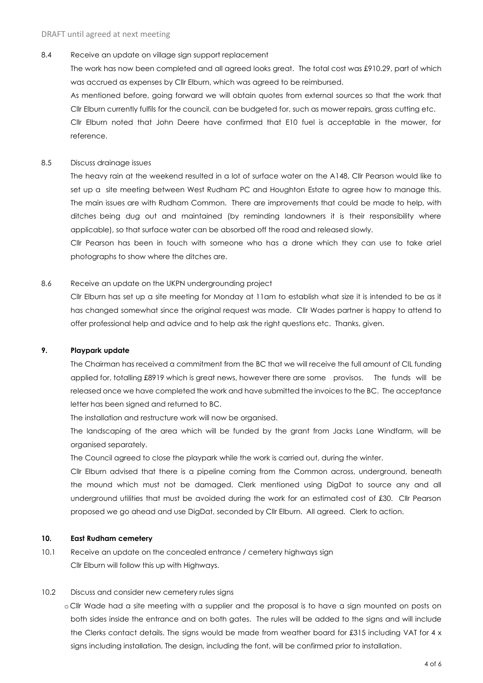#### 8.4 Receive an update on village sign support replacement

The work has now been completed and all agreed looks great. The total cost was £910.29, part of which was accrued as expenses by Cllr Elburn, which was agreed to be reimbursed.

As mentioned before, going forward we will obtain quotes from external sources so that the work that Cllr Elburn currently fulfils for the council, can be budgeted for, such as mower repairs, grass cutting etc.

Cllr Elburn noted that John Deere have confirmed that E10 fuel is acceptable in the mower, for reference.

#### 8.5 Discuss drainage issues

The heavy rain at the weekend resulted in a lot of surface water on the A148, Cllr Pearson would like to set up a site meeting between West Rudham PC and Houghton Estate to agree how to manage this. The main issues are with Rudham Common. There are improvements that could be made to help, with ditches being dug out and maintained (by reminding landowners it is their responsibility where applicable), so that surface water can be absorbed off the road and released slowly.

Cllr Pearson has been in touch with someone who has a drone which they can use to take ariel photographs to show where the ditches are.

#### 8.6 Receive an update on the UKPN undergrounding project

Cllr Elburn has set up a site meeting for Monday at 11am to establish what size it is intended to be as it has changed somewhat since the original request was made. Cllr Wades partner is happy to attend to offer professional help and advice and to help ask the right questions etc. Thanks, given.

#### **9. Playpark update**

The Chairman has received a commitment from the BC that we will receive the full amount of CIL funding applied for, totalling £8919 which is great news, however there are some provisos. The funds will be released once we have completed the work and have submitted the invoices to the BC. The acceptance letter has been signed and returned to BC.

The installation and restructure work will now be organised.

The landscaping of the area which will be funded by the grant from Jacks Lane Windfarm, will be organised separately.

The Council agreed to close the playpark while the work is carried out, during the winter.

Cllr Elburn advised that there is a pipeline coming from the Common across, underground, beneath the mound which must not be damaged. Clerk mentioned using DigDat to source any and all underground utilities that must be avoided during the work for an estimated cost of £30. Cllr Pearson proposed we go ahead and use DigDat, seconded by Cllr Elburn. All agreed. Clerk to action.

#### **10. East Rudham cemetery**

- 10.1 Receive an update on the concealed entrance / cemetery highways sign Cllr Elburn will follow this up with Highways.
- 10.2 Discuss and consider new cemetery rules signs
	- o Cllr Wade had a site meeting with a supplier and the proposal is to have a sign mounted on posts on both sides inside the entrance and on both gates. The rules will be added to the signs and will include the Clerks contact details. The signs would be made from weather board for £315 including VAT for 4 x signs including installation. The design, including the font, will be confirmed prior to installation.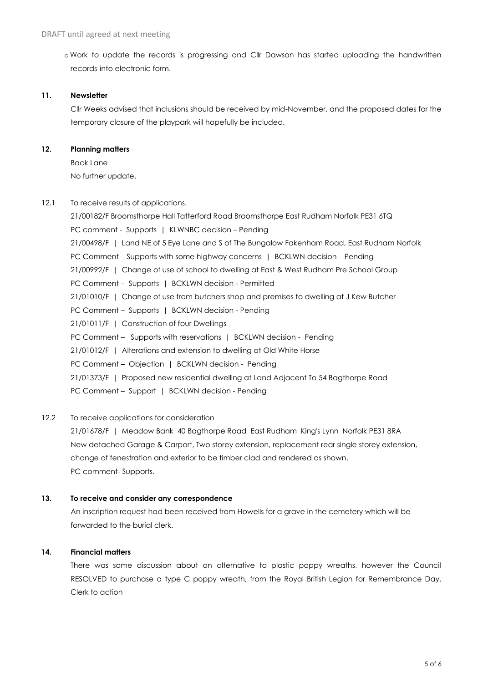o Work to update the records is progressing and Cllr Dawson has started uploading the handwritten records into electronic form.

#### **11. Newsletter**

Cllr Weeks advised that inclusions should be received by mid-November, and the proposed dates for the temporary closure of the playpark will hopefully be included.

### **12. Planning matters**

Back Lane No further update.

12.1 To receive results of applications.

21/00182/F Broomsthorpe Hall Tatterford Road Broomsthorpe East Rudham Norfolk PE31 6TQ PC comment - Supports | KLWNBC decision – Pending 21/00498/F | Land NE of 5 Eye Lane and S of The Bungalow Fakenham Road, East Rudham Norfolk PC Comment – Supports with some highway concerns | BCKLWN decision – Pending 21/00992/F | Change of use of school to dwelling at East & West Rudham Pre School Group PC Comment – Supports | BCKLWN decision - Permitted 21/01010/F | Change of use from butchers shop and premises to dwelling at J Kew Butcher PC Comment - Supports | BCKLWN decision - Pending 21/01011/F | Construction of four Dwellings PC Comment - Supports with reservations | BCKLWN decision - Pending 21/01012/F | Alterations and extension to dwelling at Old White Horse PC Comment - Objection | BCKLWN decision - Pending 21/01373/F | Proposed new residential dwelling at Land Adjacent To 54 Bagthorpe Road PC Comment - Support | BCKLWN decision - Pending

# 12.2 To receive applications for consideration

21/01678/F | Meadow Bank 40 Bagthorpe Road East Rudham King's Lynn Norfolk PE31 8RA New detached Garage & Carport, Two storey extension, replacement rear single storey extension, change of fenestration and exterior to be timber clad and rendered as shown. PC comment- Supports.

#### **13. To receive and consider any correspondence**

An inscription request had been received from Howells for a grave in the cemetery which will be forwarded to the burial clerk.

# **14. Financial matters**

There was some discussion about an alternative to plastic poppy wreaths, however the Council RESOLVED to purchase a type C poppy wreath, from the Royal British Legion for Remembrance Day. Clerk to action